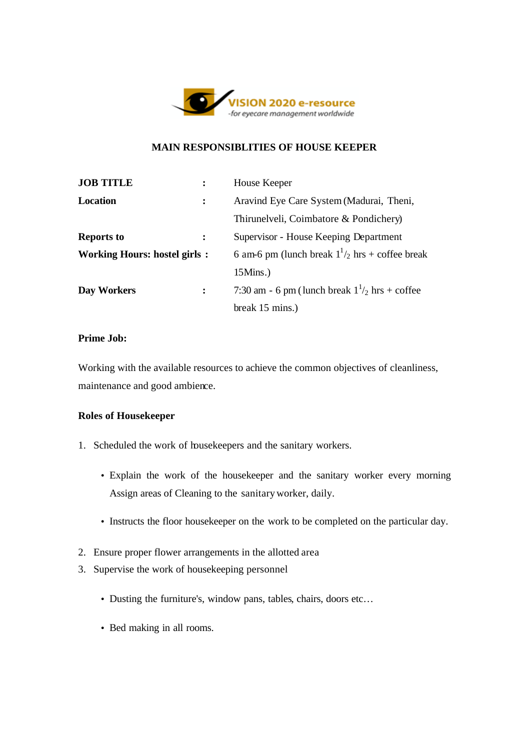

# **MAIN RESPONSIBLITIES OF HOUSE KEEPER**

| <b>JOB TITLE</b>                    |                | House Keeper                                             |
|-------------------------------------|----------------|----------------------------------------------------------|
| <b>Location</b>                     |                | Aravind Eye Care System (Madurai, Theni,                 |
|                                     |                | Thirunelveli, Coimbatore & Pondichery)                   |
| <b>Reports to</b>                   | $\ddot{\cdot}$ | Supervisor - House Keeping Department                    |
| <b>Working Hours: hostel girls:</b> |                | 6 am-6 pm (lunch break $1\frac{1}{2}$ hrs + coffee break |
|                                     |                | $15 \mathrm{Mins.}$ )                                    |
| Day Workers                         | $\ddot{\cdot}$ | 7:30 am - 6 pm (lunch break $1\frac{1}{2}$ hrs + coffee  |
|                                     |                | break 15 mins.)                                          |

### **Prime Job:**

Working with the available resources to achieve the common objectives of cleanliness, maintenance and good ambience.

### **Roles of Housekeeper**

- 1. Scheduled the work of housekeepers and the sanitary workers.
	- Explain the work of the housekeeper and the sanitary worker every morning Assign areas of Cleaning to the sanitary worker, daily.
	- Instructs the floor housekeeper on the work to be completed on the particular day.
- 2. Ensure proper flower arrangements in the allotted area
- 3. Supervise the work of housekeeping personnel
	- Dusting the furniture's, window pans, tables, chairs, doors etc...
	- Bed making in all rooms.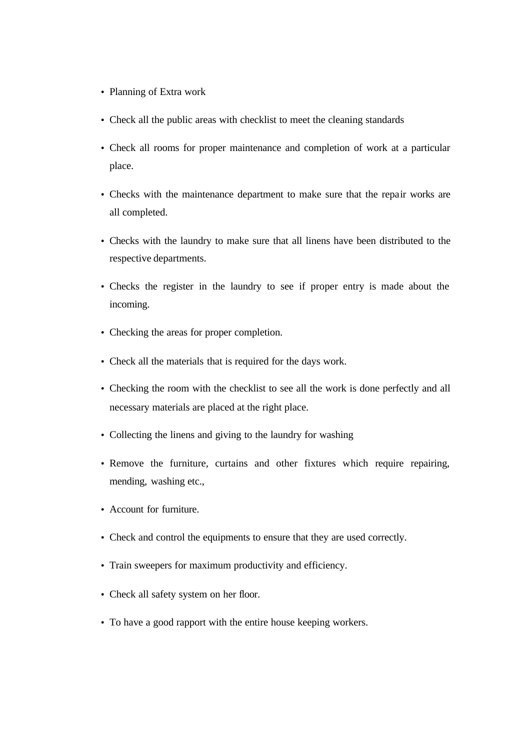- Planning of Extra work
- Check all the public areas with checklist to meet the cleaning standards
- Check all rooms for proper maintenance and completion of work at a particular place.
- Checks with the maintenance department to make sure that the repair works are all completed.
- Checks with the laundry to make sure that all linens have been distributed to the respective departments.
- Checks the register in the laundry to see if proper entry is made about the incoming.
- Checking the areas for proper completion.
- Check all the materials that is required for the days work.
- Checking the room with the checklist to see all the work is done perfectly and all necessary materials are placed at the right place.
- Collecting the linens and giving to the laundry for washing
- Remove the furniture, curtains and other fixtures which require repairing, mending, washing etc.,
- Account for furniture.
- Check and control the equipments to ensure that they are used correctly.
- Train sweepers for maximum productivity and efficiency.
- Check all safety system on her floor.
- To have a good rapport with the entire house keeping workers.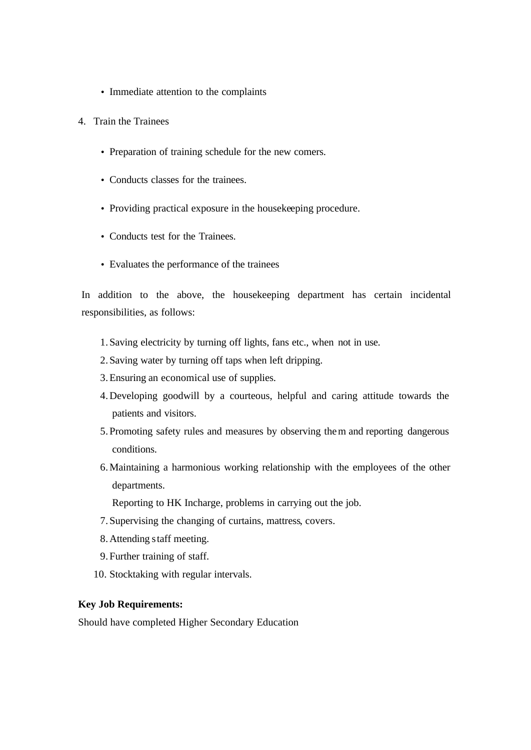- Immediate attention to the complaints
- 4. Train the Trainees
	- Preparation of training schedule for the new comers.
	- Conducts classes for the trainees.
	- Providing practical exposure in the housekeeping procedure.
	- Conducts test for the Trainees.
	- Evaluates the performance of the trainees

In addition to the above, the housekeeping department has certain incidental responsibilities, as follows:

- 1. Saving electricity by turning off lights, fans etc., when not in use.
- 2. Saving water by turning off taps when left dripping.
- 3.Ensuring an economical use of supplies.
- 4.Developing goodwill by a courteous, helpful and caring attitude towards the patients and visitors.
- 5. Promoting safety rules and measures by observing them and reporting dangerous conditions.
- 6.Maintaining a harmonious working relationship with the employees of the other departments.

Reporting to HK Incharge, problems in carrying out the job.

- 7. Supervising the changing of curtains, mattress, covers.
- 8.Attending staff meeting.
- 9. Further training of staff.
- 10. Stocktaking with regular intervals.

#### **Key Job Requirements:**

Should have completed Higher Secondary Education